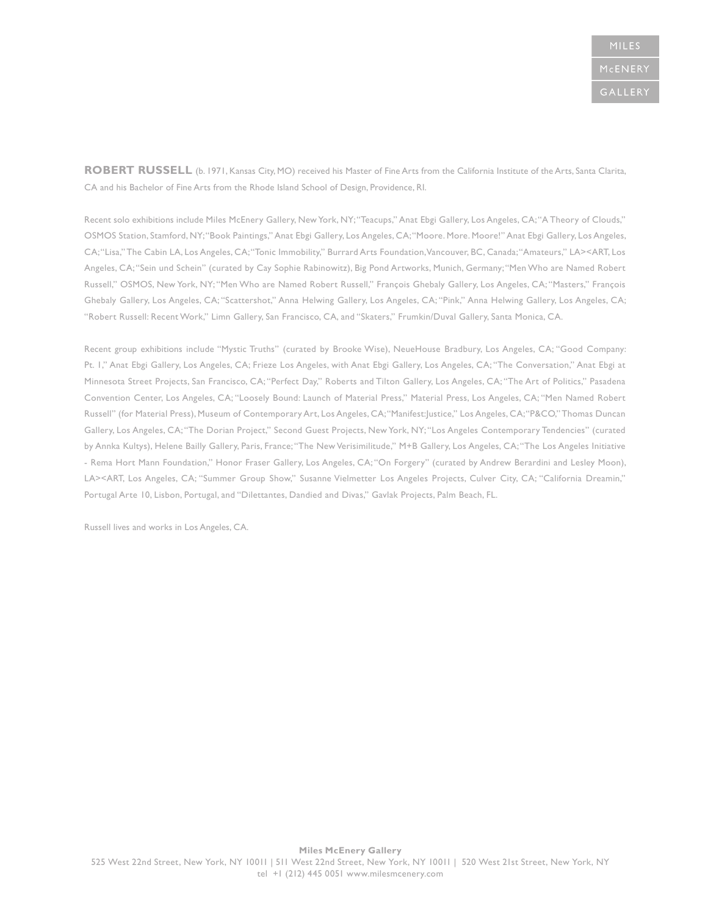**ROBERT RUSSELL** (b. 1971, Kansas City, MO) received his Master of Fine Arts from the California Institute of the Arts, Santa Clarita, CA and his Bachelor of Fine Arts from the Rhode Island School of Design, Providence, RI.

Recent solo exhibitions include Miles McEnery Gallery, New York, NY; "Teacups," Anat Ebgi Gallery, Los Angeles, CA; "A Theory of Clouds," OSMOS Station, Stamford, NY; "Book Paintings," Anat Ebgi Gallery, Los Angeles, CA; "Moore. More. Moore!" Anat Ebgi Gallery, Los Angeles, CA; "Lisa," The Cabin LA, Los Angeles, CA; "Tonic Immobility," Burrard Arts Foundation, Vancouver, BC, Canada; "Amateurs," LA><ART, Los Angeles, CA; "Sein und Schein" (curated by Cay Sophie Rabinowitz), Big Pond Artworks, Munich, Germany; "Men Who are Named Robert Russell," OSMOS, New York, NY; "Men Who are Named Robert Russell," François Ghebaly Gallery, Los Angeles, CA; "Masters," François Ghebaly Gallery, Los Angeles, CA; "Scattershot," Anna Helwing Gallery, Los Angeles, CA; "Pink," Anna Helwing Gallery, Los Angeles, CA; "Robert Russell: Recent Work," Limn Gallery, San Francisco, CA, and "Skaters," Frumkin/Duval Gallery, Santa Monica, CA.

Recent group exhibitions include "Mystic Truths" (curated by Brooke Wise), NeueHouse Bradbury, Los Angeles, CA; "Good Company: Pt. 1," Anat Ebgi Gallery, Los Angeles, CA; Frieze Los Angeles, with Anat Ebgi Gallery, Los Angeles, CA; "The Conversation," Anat Ebgi at Minnesota Street Projects, San Francisco, CA; "Perfect Day," Roberts and Tilton Gallery, Los Angeles, CA; "The Art of Politics," Pasadena Convention Center, Los Angeles, CA; "Loosely Bound: Launch of Material Press," Material Press, Los Angeles, CA; "Men Named Robert Russell" (for Material Press), Museum of Contemporary Art, Los Angeles, CA; "Manifest:Justice," Los Angeles, CA; "P&CO," Thomas Duncan Gallery, Los Angeles, CA; "The Dorian Project," Second Guest Projects, New York, NY; "Los Angeles Contemporary Tendencies" (curated by Annka Kultys), Helene Bailly Gallery, Paris, France; "The New Verisimilitude," M+B Gallery, Los Angeles, CA; "The Los Angeles Initiative - Rema Hort Mann Foundation," Honor Fraser Gallery, Los Angeles, CA; "On Forgery" (curated by Andrew Berardini and Lesley Moon), LA><ART, Los Angeles, CA; "Summer Group Show," Susanne Vielmetter Los Angeles Projects, Culver City, CA; "California Dreamin," Portugal Arte 10, Lisbon, Portugal, and "Dilettantes, Dandied and Divas," Gavlak Projects, Palm Beach, FL.

Russell lives and works in Los Angeles, CA.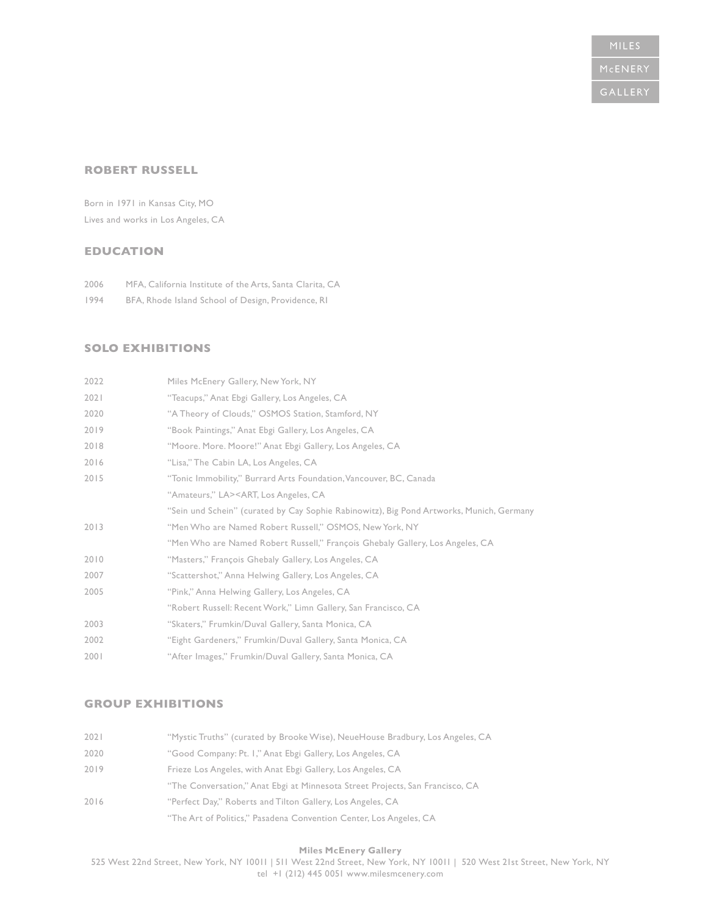### **ROBERT RUSSELL**

Born in 1971 in Kansas City, MO Lives and works in Los Angeles, CA

## **EDUCATION**

2006 MFA, California Institute of the Arts, Santa Clarita, CA

1994 BFA, Rhode Island School of Design, Providence, RI

### **SOLO EXHIBITIONS**

| 2022 | Miles McEnery Gallery, New York, NY                                                      |
|------|------------------------------------------------------------------------------------------|
| 2021 | "Teacups," Anat Ebgi Gallery, Los Angeles, CA                                            |
| 2020 | "A Theory of Clouds," OSMOS Station, Stamford, NY                                        |
| 2019 | "Book Paintings," Anat Ebgi Gallery, Los Angeles, CA                                     |
| 2018 | "Moore. More. Moore!" Anat Ebgi Gallery, Los Angeles, CA                                 |
| 2016 | "Lisa," The Cabin LA, Los Angeles, CA                                                    |
| 2015 | "Tonic Immobility," Burrard Arts Foundation, Vancouver, BC, Canada                       |
|      | "Amateurs," LA> <art, angeles,="" ca<="" los="" td=""></art,>                            |
|      | "Sein und Schein" (curated by Cay Sophie Rabinowitz), Big Pond Artworks, Munich, Germany |
| 2013 | "Men Who are Named Robert Russell," OSMOS, New York, NY                                  |
|      | "Men Who are Named Robert Russell," François Ghebaly Gallery, Los Angeles, CA            |
| 2010 | "Masters," François Ghebaly Gallery, Los Angeles, CA                                     |
| 2007 | "Scattershot," Anna Helwing Gallery, Los Angeles, CA                                     |
| 2005 | "Pink," Anna Helwing Gallery, Los Angeles, CA                                            |
|      | "Robert Russell: Recent Work," Limn Gallery, San Francisco, CA                           |
| 2003 | "Skaters," Frumkin/Duval Gallery, Santa Monica, CA                                       |
| 2002 | "Eight Gardeners," Frumkin/Duval Gallery, Santa Monica, CA                               |
| 2001 | "After Images," Frumkin/Duval Gallery, Santa Monica, CA                                  |

#### **GROUP EXHIBITIONS**

| 2021 | "Mystic Truths" (curated by Brooke Wise), NeueHouse Bradbury, Los Angeles, CA |
|------|-------------------------------------------------------------------------------|
| 2020 | "Good Company: Pt. I," Anat Ebgi Gallery, Los Angeles, CA                     |
| 2019 | Frieze Los Angeles, with Anat Ebgi Gallery, Los Angeles, CA                   |
|      | "The Conversation," Anat Ebgi at Minnesota Street Projects, San Francisco, CA |
| 2016 | "Perfect Day," Roberts and Tilton Gallery, Los Angeles, CA                    |
|      | "The Art of Politics," Pasadena Convention Center, Los Angeles, CA            |

**Miles McEnery Gallery** 

525 West 22nd Street, New York, NY 10011 | 511 West 22nd Street, New York, NY 10011 | 520 West 21st Street, New York, NY tel +1 (212) 445 0051 www.milesmcenery.com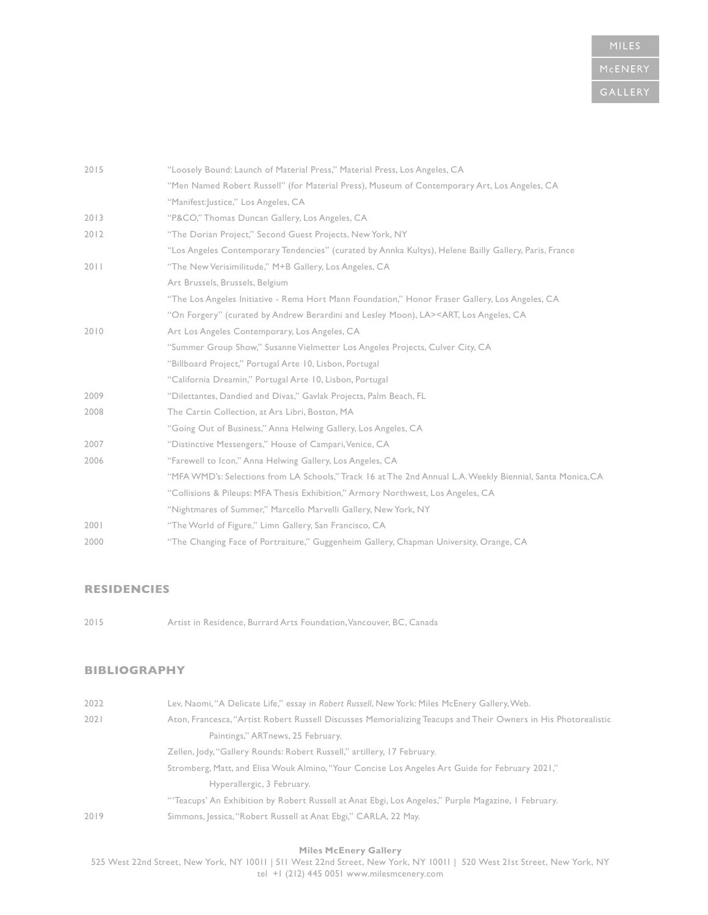| 2015 | "Loosely Bound: Launch of Material Press," Material Press, Los Angeles, CA                                    |
|------|---------------------------------------------------------------------------------------------------------------|
|      | "Men Named Robert Russell" (for Material Press), Museum of Contemporary Art, Los Angeles, CA                  |
|      | "Manifest: Justice," Los Angeles, CA                                                                          |
| 2013 | "P&CO," Thomas Duncan Gallery, Los Angeles, CA                                                                |
| 2012 | "The Dorian Project," Second Guest Projects, New York, NY                                                     |
|      | "Los Angeles Contemporary Tendencies" (curated by Annka Kultys), Helene Bailly Gallery, Paris, France         |
| 2011 | "The New Verisimilitude," M+B Gallery, Los Angeles, CA                                                        |
|      | Art Brussels, Brussels, Belgium                                                                               |
|      | "The Los Angeles Initiative - Rema Hort Mann Foundation," Honor Fraser Gallery, Los Angeles, CA               |
|      | "On Forgery" (curated by Andrew Berardini and Lesley Moon), LA> <art, angeles,="" ca<="" los="" td=""></art,> |
| 2010 | Art Los Angeles Contemporary, Los Angeles, CA                                                                 |
|      | "Summer Group Show," Susanne Vielmetter Los Angeles Projects, Culver City, CA                                 |
|      | "Billboard Project," Portugal Arte 10, Lisbon, Portugal                                                       |
|      | "California Dreamin," Portugal Arte 10, Lisbon, Portugal                                                      |
| 2009 | "Dilettantes, Dandied and Divas," Gavlak Projects, Palm Beach, FL                                             |
| 2008 | The Cartin Collection, at Ars Libri, Boston, MA                                                               |
|      | "Going Out of Business," Anna Helwing Gallery, Los Angeles, CA                                                |
| 2007 | "Distinctive Messengers," House of Campari, Venice, CA                                                        |
| 2006 | "Farewell to Icon," Anna Helwing Gallery, Los Angeles, CA                                                     |
|      | "MFA WMD's: Selections from LA Schools," Track 16 at The 2nd Annual L.A. Weekly Biennial, Santa Monica, CA    |
|      | "Collisions & Pileups: MFA Thesis Exhibition," Armory Northwest, Los Angeles, CA                              |
|      | "Nightmares of Summer," Marcello Marvelli Gallery, New York, NY                                               |
| 2001 | "The World of Figure," Limn Gallery, San Francisco, CA                                                        |
| 2000 | "The Changing Face of Portraiture," Guggenheim Gallery, Chapman University, Orange, CA                        |
|      |                                                                                                               |

## **RESIDENCIES**

2015 Artist in Residence, Burrard Arts Foundation, Vancouver, BC, Canada

# **BIBLIOGRAPHY**

| 2022 | Lev, Naomi, "A Delicate Life," essay in Robert Russell, New York: Miles McEnery Gallery, Web.                  |
|------|----------------------------------------------------------------------------------------------------------------|
| 2021 | Aton, Francesca, "Artist Robert Russell Discusses Memorializing Teacups and Their Owners in His Photorealistic |
|      | Paintings," ARTnews, 25 February.                                                                              |
|      | Zellen, Jody, "Gallery Rounds: Robert Russell," artillery, 17 February.                                        |
|      | "Stromberg, Matt, and Elisa Wouk Almino, "Your Concise Los Angeles Art Guide for February 2021,"               |
|      | Hyperallergic, 3 February.                                                                                     |
|      | "Teacups' An Exhibition by Robert Russell at Anat Ebgi, Los Angeles," Purple Magazine, I February.             |
| 2019 | Simmons, Jessica, "Robert Russell at Anat Ebgi," CARLA, 22 May.                                                |

**Miles McEnery Gallery** 

525 West 22nd Street, New York, NY 10011 | 511 West 22nd Street, New York, NY 10011 | 520 West 21st Street, New York, NY tel +1 (212) 445 0051 www.milesmcenery.com